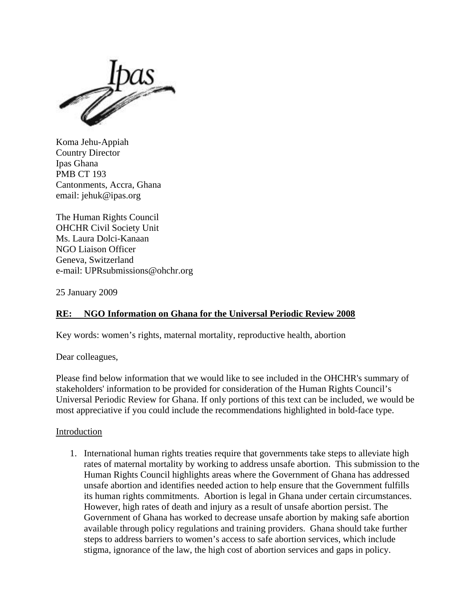

Koma Jehu-Appiah Country Director Ipas Ghana PMB CT 193 Cantonments, Accra, Ghana email: jehuk@ipas.org

The Human Rights Council OHCHR Civil Society Unit Ms. Laura Dolci-Kanaan NGO Liaison Officer Geneva, Switzerland e-mail: UPRsubmissions@ohchr.org

25 January 2009

# **RE: NGO Information on Ghana for the Universal Periodic Review 2008**

Key words: women's rights, maternal mortality, reproductive health, abortion

Dear colleagues,

Please find below information that we would like to see included in the OHCHR's summary of stakeholders' information to be provided for consideration of the Human Rights Council's Universal Periodic Review for Ghana. If only portions of this text can be included, we would be most appreciative if you could include the recommendations highlighted in bold-face type.

#### Introduction

1. International human rights treaties require that governments take steps to alleviate high rates of maternal mortality by working to address unsafe abortion. This submission to the Human Rights Council highlights areas where the Government of Ghana has addressed unsafe abortion and identifies needed action to help ensure that the Government fulfills its human rights commitments. Abortion is legal in Ghana under certain circumstances. However, high rates of death and injury as a result of unsafe abortion persist. The Government of Ghana has worked to decrease unsafe abortion by making safe abortion available through policy regulations and training providers. Ghana should take further steps to address barriers to women's access to safe abortion services, which include stigma, ignorance of the law, the high cost of abortion services and gaps in policy.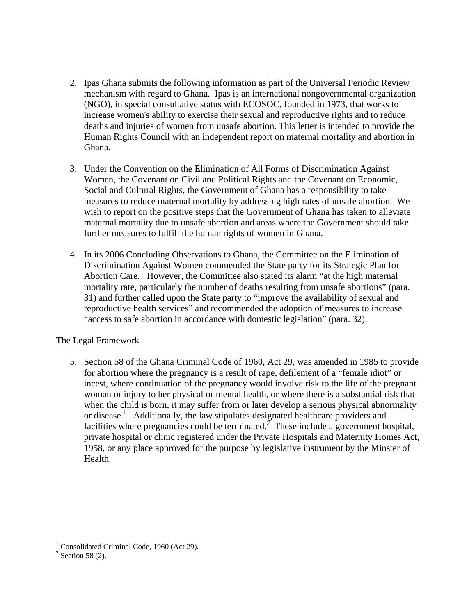- 2. Ipas Ghana submits the following information as part of the Universal Periodic Review mechanism with regard to Ghana. Ipas is an international nongovernmental organization (NGO), in special consultative status with ECOSOC, founded in 1973, that works to increase women's ability to exercise their sexual and reproductive rights and to reduce deaths and injuries of women from unsafe abortion. This letter is intended to provide the Human Rights Council with an independent report on maternal mortality and abortion in Ghana.
- 3. Under the Convention on the Elimination of All Forms of Discrimination Against Women, the Covenant on Civil and Political Rights and the Covenant on Economic, Social and Cultural Rights, the Government of Ghana has a responsibility to take measures to reduce maternal mortality by addressing high rates of unsafe abortion. We wish to report on the positive steps that the Government of Ghana has taken to alleviate maternal mortality due to unsafe abortion and areas where the Government should take further measures to fulfill the human rights of women in Ghana.
- 4. In its 2006 Concluding Observations to Ghana, the Committee on the Elimination of Discrimination Against Women commended the State party for its Strategic Plan for Abortion Care. However, the Committee also stated its alarm "at the high maternal mortality rate, particularly the number of deaths resulting from unsafe abortions" (para. 31) and further called upon the State party to "improve the availability of sexual and reproductive health services" and recommended the adoption of measures to increase "access to safe abortion in accordance with domestic legislation" (para. 32).

# The Legal Framework

5. Section 58 of the Ghana Criminal Code of 1960, Act 29, was amended in 1985 to provide for abortion where the pregnancy is a result of rape, defilement of a "female idiot" or incest, where continuation of the pregnancy would involve risk to the life of the pregnant woman or injury to her physical or mental health, or where there is a substantial risk that when the child is born, it may suffer from or later develop a serious physical abnormality or disease.<sup>1</sup> Additionally, the law stipulates designated healthcare providers and facilities where pregnancies could be terminated.<sup>2</sup> These include a government hospital, private hospital or clinic registered under the Private Hospitals and Maternity Homes Act, 1958, or any place approved for the purpose by legislative instrument by the Minster of Health.

 1 Consolidated Criminal Code, 1960 (Act 29).

 $2$  Section 58 (2).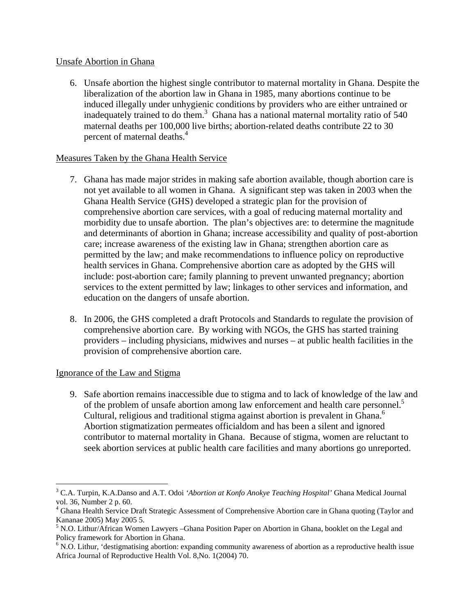### Unsafe Abortion in Ghana

6. Unsafe abortion the highest single contributor to maternal mortality in Ghana. Despite the liberalization of the abortion law in Ghana in 1985, many abortions continue to be induced illegally under unhygienic conditions by providers who are either untrained or inadequately trained to do them.<sup>3</sup> Ghana has a national maternal mortality ratio of  $540$ maternal deaths per 100,000 live births; abortion-related deaths contribute 22 to 30 percent of maternal deaths.<sup>4</sup>

# Measures Taken by the Ghana Health Service

- 7. Ghana has made major strides in making safe abortion available, though abortion care is not yet available to all women in Ghana. A significant step was taken in 2003 when the Ghana Health Service (GHS) developed a strategic plan for the provision of comprehensive abortion care services, with a goal of reducing maternal mortality and morbidity due to unsafe abortion. The plan's objectives are: to determine the magnitude and determinants of abortion in Ghana; increase accessibility and quality of post-abortion care; increase awareness of the existing law in Ghana; strengthen abortion care as permitted by the law; and make recommendations to influence policy on reproductive health services in Ghana. Comprehensive abortion care as adopted by the GHS will include: post-abortion care; family planning to prevent unwanted pregnancy; abortion services to the extent permitted by law; linkages to other services and information, and education on the dangers of unsafe abortion.
- 8. In 2006, the GHS completed a draft Protocols and Standards to regulate the provision of comprehensive abortion care. By working with NGOs, the GHS has started training providers – including physicians, midwives and nurses – at public health facilities in the provision of comprehensive abortion care.

# Ignorance of the Law and Stigma

1

9. Safe abortion remains inaccessible due to stigma and to lack of knowledge of the law and of the problem of unsafe abortion among law enforcement and health care personnel.<sup>5</sup> Cultural, religious and traditional stigma against abortion is prevalent in Ghana.<sup>6</sup> Abortion stigmatization permeates officialdom and has been a silent and ignored contributor to maternal mortality in Ghana. Because of stigma, women are reluctant to seek abortion services at public health care facilities and many abortions go unreported.

<sup>3</sup> C.A. Turpin, K.A.Danso and A.T. Odoi *'Abortion at Konfo Anokye Teaching Hospital'* Ghana Medical Journal vol. 36, Number 2 p. 60.

<sup>&</sup>lt;sup>4</sup> Ghana Health Service Draft Strategic Assessment of Comprehensive Abortion care in Ghana quoting (Taylor and Kananae 2005) May 2005 5.

<sup>&</sup>lt;sup>5</sup> N.O. Lithur/African Women Lawyers –Ghana Position Paper on Abortion in Ghana, booklet on the Legal and Policy framework for Abortion in Ghana.

<sup>&</sup>lt;sup>6</sup> N.O. Lithur, 'destigmatising abortion: expanding community awareness of abortion as a reproductive health issue Africa Journal of Reproductive Health Vol. 8,No. 1(2004) 70.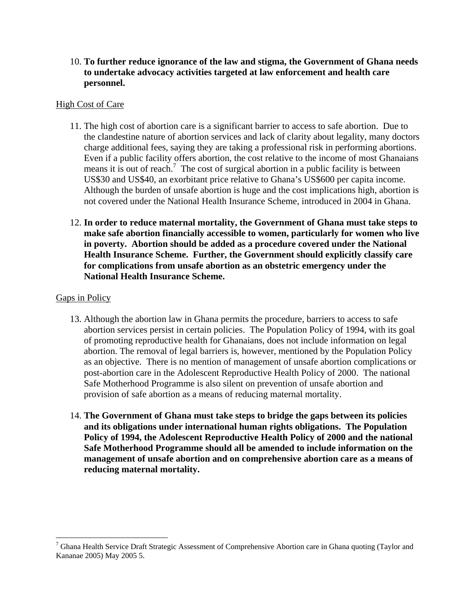10. **To further reduce ignorance of the law and stigma, the Government of Ghana needs to undertake advocacy activities targeted at law enforcement and health care personnel.** 

#### High Cost of Care

- 11. The high cost of abortion care is a significant barrier to access to safe abortion. Due to the clandestine nature of abortion services and lack of clarity about legality, many doctors charge additional fees, saying they are taking a professional risk in performing abortions. Even if a public facility offers abortion, the cost relative to the income of most Ghanaians means it is out of reach.<sup>7</sup> The cost of surgical abortion in a public facility is between US\$30 and US\$40, an exorbitant price relative to Ghana's US\$600 per capita income. Although the burden of unsafe abortion is huge and the cost implications high, abortion is not covered under the National Health Insurance Scheme, introduced in 2004 in Ghana.
- 12. **In order to reduce maternal mortality, the Government of Ghana must take steps to make safe abortion financially accessible to women, particularly for women who live in poverty. Abortion should be added as a procedure covered under the National Health Insurance Scheme. Further, the Government should explicitly classify care for complications from unsafe abortion as an obstetric emergency under the National Health Insurance Scheme.**

#### Gaps in Policy

- 13. Although the abortion law in Ghana permits the procedure, barriers to access to safe abortion services persist in certain policies. The Population Policy of 1994, with its goal of promoting reproductive health for Ghanaians, does not include information on legal abortion. The removal of legal barriers is, however, mentioned by the Population Policy as an objective. There is no mention of management of unsafe abortion complications or post-abortion care in the Adolescent Reproductive Health Policy of 2000. The national Safe Motherhood Programme is also silent on prevention of unsafe abortion and provision of safe abortion as a means of reducing maternal mortality.
- 14. **The Government of Ghana must take steps to bridge the gaps between its policies and its obligations under international human rights obligations. The Population Policy of 1994, the Adolescent Reproductive Health Policy of 2000 and the national Safe Motherhood Programme should all be amended to include information on the management of unsafe abortion and on comprehensive abortion care as a means of reducing maternal mortality.**

<sup>&</sup>lt;sup>7</sup> Ghana Health Service Draft Strategic Assessment of Comprehensive Abortion care in Ghana quoting (Taylor and Kananae 2005) May 2005 5.